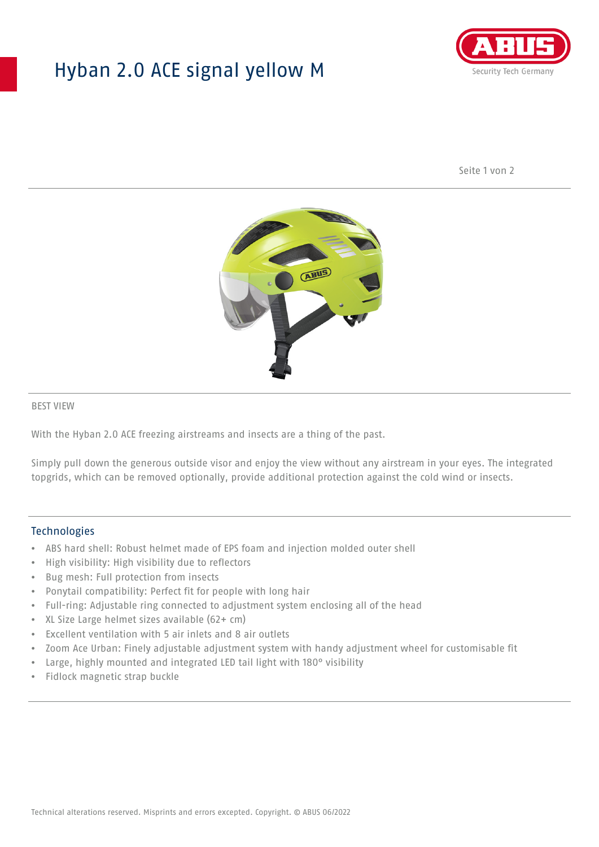## Hyban 2.0 ACE signal yellow M



Seite 1 von 2



#### BEST VIEW

With the Hyban 2.0 ACE freezing airstreams and insects are a thing of the past.

Simply pull down the generous outside visor and enjoy the view without any airstream in your eyes. The integrated topgrids, which can be removed optionally, provide additional protection against the cold wind or insects.

#### **Technologies**

- ABS hard shell: Robust helmet made of EPS foam and injection molded outer shell
- High visibility: High visibility due to reflectors
- Bug mesh: Full protection from insects
- Ponytail compatibility: Perfect fit for people with long hair
- Full-ring: Adjustable ring connected to adjustment system enclosing all of the head
- XL Size Large helmet sizes available (62+ cm)
- Excellent ventilation with 5 air inlets and 8 air outlets
- Zoom Ace Urban: Finely adjustable adjustment system with handy adjustment wheel for customisable fit
- Large, highly mounted and integrated LED tail light with 180° visibility
- Fidlock magnetic strap buckle